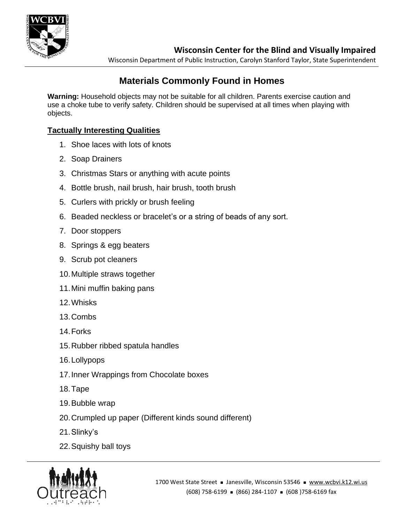

Wisconsin Department of Public Instruction, Carolyn Stanford Taylor, State Superintendent

# **Materials Commonly Found in Homes**

**Warning:** Household objects may not be suitable for all children. Parents exercise caution and use a choke tube to verify safety. Children should be supervised at all times when playing with objects.

## **Tactually Interesting Qualities**

- 1. Shoe laces with lots of knots
- 2. Soap Drainers
- 3. Christmas Stars or anything with acute points
- 4. Bottle brush, nail brush, hair brush, tooth brush
- 5. Curlers with prickly or brush feeling
- 6. Beaded neckless or bracelet's or a string of beads of any sort.
- 7. Door stoppers
- 8. Springs & egg beaters
- 9. Scrub pot cleaners
- 10.Multiple straws together
- 11.Mini muffin baking pans
- 12.Whisks
- 13.Combs
- 14.Forks
- 15.Rubber ribbed spatula handles
- 16.Lollypops
- 17.Inner Wrappings from Chocolate boxes
- 18.Tape
- 19.Bubble wrap
- 20.Crumpled up paper (Different kinds sound different)
- 21.Slinky's
- 22.Squishy ball toys

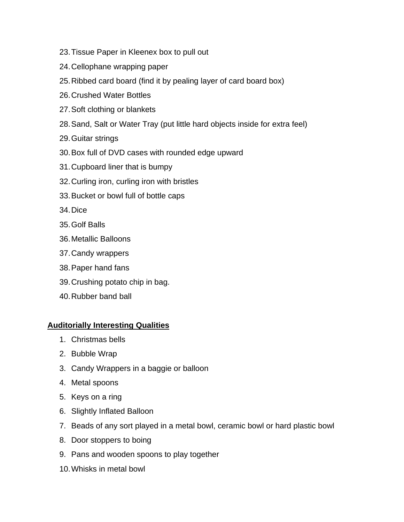- 23.Tissue Paper in Kleenex box to pull out
- 24.Cellophane wrapping paper
- 25.Ribbed card board (find it by pealing layer of card board box)
- 26.Crushed Water Bottles
- 27.Soft clothing or blankets
- 28.Sand, Salt or Water Tray (put little hard objects inside for extra feel)
- 29.Guitar strings
- 30.Box full of DVD cases with rounded edge upward
- 31.Cupboard liner that is bumpy
- 32.Curling iron, curling iron with bristles
- 33.Bucket or bowl full of bottle caps
- 34.Dice
- 35.Golf Balls
- 36.Metallic Balloons
- 37.Candy wrappers
- 38.Paper hand fans
- 39.Crushing potato chip in bag.
- 40.Rubber band ball

### **Auditorially Interesting Qualities**

- 1. Christmas bells
- 2. Bubble Wrap
- 3. Candy Wrappers in a baggie or balloon
- 4. Metal spoons
- 5. Keys on a ring
- 6. Slightly Inflated Balloon
- 7. Beads of any sort played in a metal bowl, ceramic bowl or hard plastic bowl
- 8. Door stoppers to boing
- 9. Pans and wooden spoons to play together
- 10.Whisks in metal bowl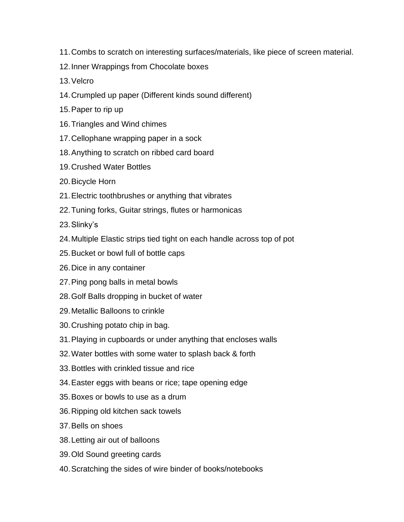- 11.Combs to scratch on interesting surfaces/materials, like piece of screen material.
- 12.Inner Wrappings from Chocolate boxes
- 13.Velcro
- 14.Crumpled up paper (Different kinds sound different)
- 15.Paper to rip up
- 16.Triangles and Wind chimes
- 17.Cellophane wrapping paper in a sock
- 18.Anything to scratch on ribbed card board
- 19.Crushed Water Bottles
- 20.Bicycle Horn
- 21.Electric toothbrushes or anything that vibrates
- 22.Tuning forks, Guitar strings, flutes or harmonicas
- 23.Slinky's
- 24.Multiple Elastic strips tied tight on each handle across top of pot
- 25.Bucket or bowl full of bottle caps
- 26.Dice in any container
- 27.Ping pong balls in metal bowls
- 28.Golf Balls dropping in bucket of water
- 29.Metallic Balloons to crinkle
- 30.Crushing potato chip in bag.
- 31.Playing in cupboards or under anything that encloses walls
- 32.Water bottles with some water to splash back & forth
- 33.Bottles with crinkled tissue and rice
- 34.Easter eggs with beans or rice; tape opening edge
- 35.Boxes or bowls to use as a drum
- 36.Ripping old kitchen sack towels
- 37.Bells on shoes
- 38.Letting air out of balloons
- 39.Old Sound greeting cards
- 40.Scratching the sides of wire binder of books/notebooks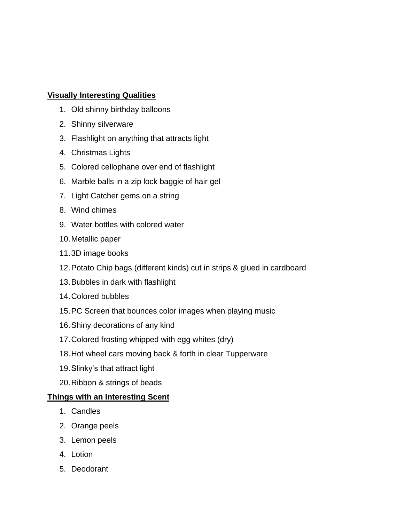#### **Visually Interesting Qualities**

- 1. Old shinny birthday balloons
- 2. Shinny silverware
- 3. Flashlight on anything that attracts light
- 4. Christmas Lights
- 5. Colored cellophane over end of flashlight
- 6. Marble balls in a zip lock baggie of hair gel
- 7. Light Catcher gems on a string
- 8. Wind chimes
- 9. Water bottles with colored water
- 10.Metallic paper
- 11.3D image books
- 12.Potato Chip bags (different kinds) cut in strips & glued in cardboard
- 13.Bubbles in dark with flashlight
- 14.Colored bubbles
- 15.PC Screen that bounces color images when playing music
- 16.Shiny decorations of any kind
- 17.Colored frosting whipped with egg whites (dry)
- 18.Hot wheel cars moving back & forth in clear Tupperware
- 19.Slinky's that attract light
- 20.Ribbon & strings of beads

#### **Things with an Interesting Scent**

- 1. Candles
- 2. Orange peels
- 3. Lemon peels
- 4. Lotion
- 5. Deodorant